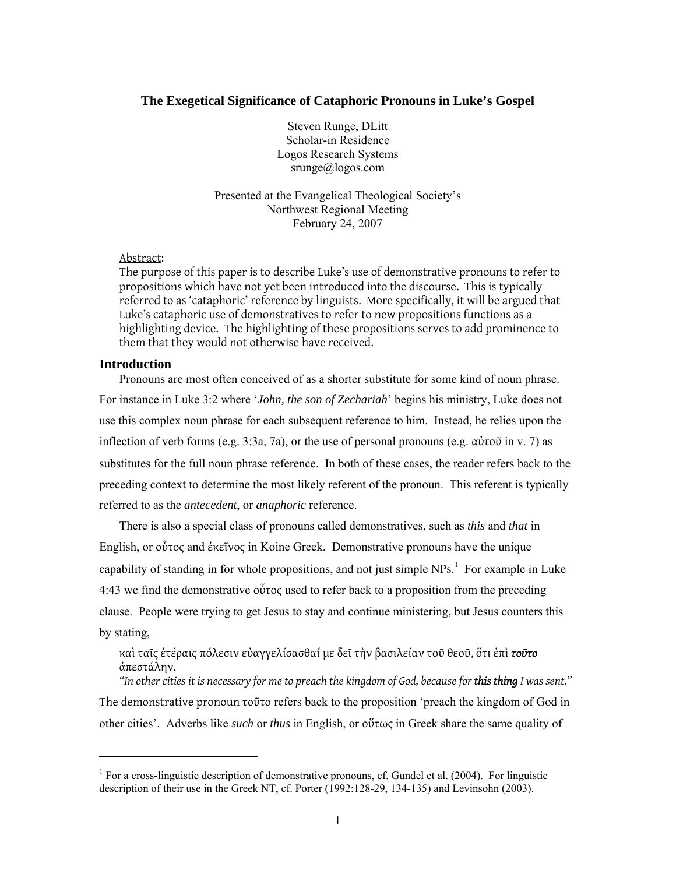### **The Exegetical Significance of Cataphoric Pronouns in Luke's Gospel**

Steven Runge, DLitt Scholar-in Residence Logos Research Systems srunge@logos.com

Presented at the Evangelical Theological Society's Northwest Regional Meeting February 24, 2007

### Abstract:

The purpose of this paper is to describe Luke's use of demonstrative pronouns to refer to propositions which have not yet been introduced into the discourse. This is typically referred to as 'cataphoric' reference by linguists. More specifically, it will be argued that Luke's cataphoric use of demonstratives to refer to new propositions functions as a highlighting device. The highlighting of these propositions serves to add prominence to them that they would not otherwise have received.

### **Introduction**

l

Pronouns are most often conceived of as a shorter substitute for some kind of noun phrase. For instance in Luke 3:2 where '*John, the son of Zechariah*' begins his ministry, Luke does not use this complex noun phrase for each subsequent reference to him. Instead, he relies upon the inflection of verb forms (e.g. 3:3a, 7a), or the use of personal pronouns (e.g. αὐτοῦ in v. 7) as substitutes for the full noun phrase reference. In both of these cases, the reader refers back to the preceding context to determine the most likely referent of the pronoun. This referent is typically referred to as the *antecedent*, or *anaphoric* reference.

There is also a special class of pronouns called demonstratives, such as *this* and *that* in English, or οὗτος and ἐκεῖνος in Koine Greek. Demonstrative pronouns have the unique capability of standing in for whole propositions, and not just simple  $NPs$ <sup>1</sup>. For example in Luke  $4:43$  we find the demonstrative οὗτος used to refer back to a proposition from the preceding clause. People were trying to get Jesus to stay and continue ministering, but Jesus counters this by stating,

### καὶ ταῖς ἑτέραις πόλεσιν εὐαγγελίσασθαί με δεῖ τὴν βασιλείαν τοῦ θεοῦ, ὅτι ἐπὶ *τοῦτο* ἀπεστάλην.

*"In other cities it is necessary for me to preach the kingdom of God, because for this thing I was sent."*  The demonstrative pronoun τοῦτο refers back to the proposition 'preach the kingdom of God in other cities'. Adverbs like *such* or *thus* in English, or οὕτως in Greek share the same quality of

<sup>&</sup>lt;sup>1</sup> For a cross-linguistic description of demonstrative pronouns, cf. Gundel et al. (2004). For linguistic description of their use in the Greek NT, cf. Porter (1992:128-29, 134-135) and Levinsohn (2003).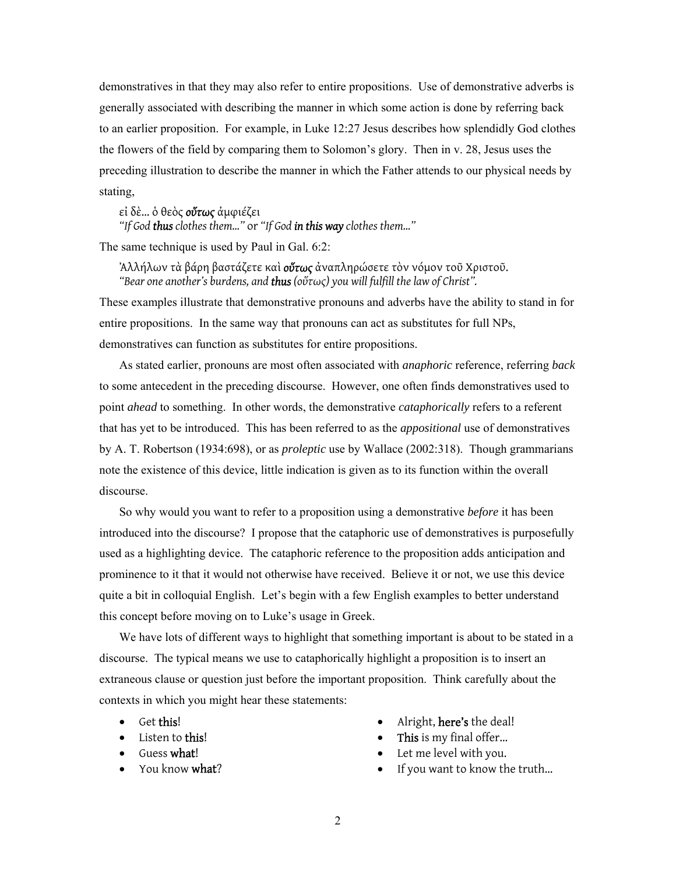demonstratives in that they may also refer to entire propositions. Use of demonstrative adverbs is generally associated with describing the manner in which some action is done by referring back to an earlier proposition. For example, in Luke 12:27 Jesus describes how splendidly God clothes the flowers of the field by comparing them to Solomon's glory. Then in v. 28, Jesus uses the preceding illustration to describe the manner in which the Father attends to our physical needs by stating,

εἰ δὲ… ὁ θεὸς *οὕτως* ἀμφιέζει

*"If God thus clothes them…"* or *"If God in this way clothes them…"* 

The same technique is used by Paul in Gal. 6:2:

Ἀλλήλων τὰ βάρη βαστάζετε καὶ *οὕτως* ἀναπληρώσετε τὸν νόμον τοῦ Χριστοῦ. *"Bear one another's burdens, and thus (οὕτως) you will fulfill the law of Christ".* 

These examples illustrate that demonstrative pronouns and adverbs have the ability to stand in for entire propositions. In the same way that pronouns can act as substitutes for full NPs, demonstratives can function as substitutes for entire propositions.

As stated earlier, pronouns are most often associated with *anaphoric* reference, referring *back* to some antecedent in the preceding discourse. However, one often finds demonstratives used to point *ahead* to something. In other words, the demonstrative *cataphorically* refers to a referent that has yet to be introduced. This has been referred to as the *appositional* use of demonstratives by A. T. Robertson (1934:698), or as *proleptic* use by Wallace (2002:318). Though grammarians note the existence of this device, little indication is given as to its function within the overall discourse.

So why would you want to refer to a proposition using a demonstrative *before* it has been introduced into the discourse? I propose that the cataphoric use of demonstratives is purposefully used as a highlighting device. The cataphoric reference to the proposition adds anticipation and prominence to it that it would not otherwise have received. Believe it or not, we use this device quite a bit in colloquial English. Let's begin with a few English examples to better understand this concept before moving on to Luke's usage in Greek.

We have lots of different ways to highlight that something important is about to be stated in a discourse. The typical means we use to cataphorically highlight a proposition is to insert an extraneous clause or question just before the important proposition. Think carefully about the contexts in which you might hear these statements:

- Get this!
- Listen to this!
- Guess what!
- You know what?
- Alright, here's the deal!
- This is my final offer...
- Let me level with you.
- If you want to know the truth...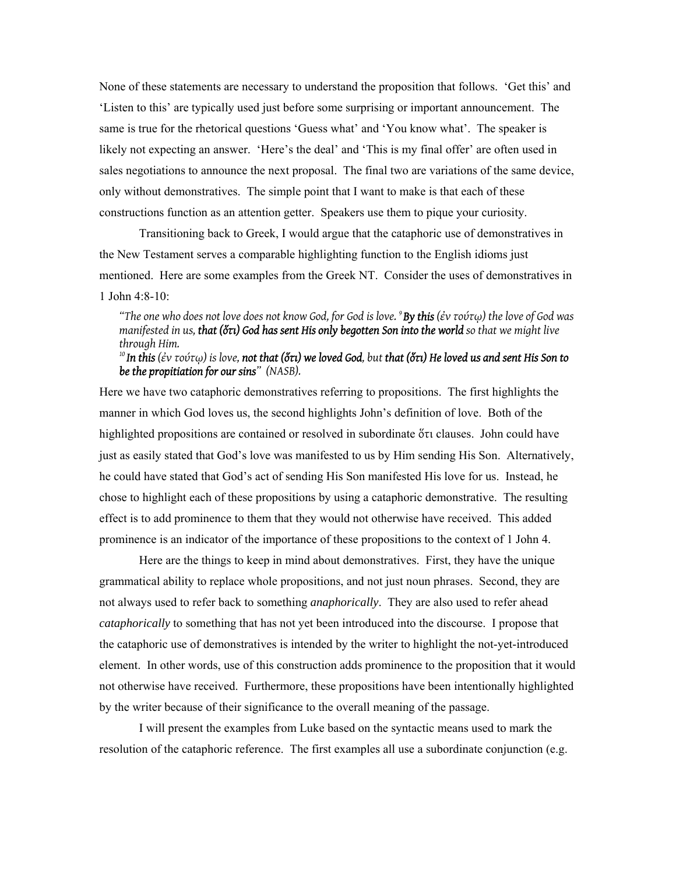None of these statements are necessary to understand the proposition that follows. 'Get this' and 'Listen to this' are typically used just before some surprising or important announcement. The same is true for the rhetorical questions 'Guess what' and 'You know what'. The speaker is likely not expecting an answer. 'Here's the deal' and 'This is my final offer' are often used in sales negotiations to announce the next proposal. The final two are variations of the same device, only without demonstratives. The simple point that I want to make is that each of these constructions function as an attention getter. Speakers use them to pique your curiosity.

Transitioning back to Greek, I would argue that the cataphoric use of demonstratives in the New Testament serves a comparable highlighting function to the English idioms just mentioned. Here are some examples from the Greek NT. Consider the uses of demonstratives in 1 John 4:8-10:

*"The one who does not love does not know God, for God is love. 9 By this (ἐν τούτῳ) the love of God was manifested in us, that (ὅτι) God has sent His only begotten Son into the world so that we might live through Him.* 

*10 In this (ἐν τούτῳ) is love, not that (ὅτι) we loved God, but that (ὅτι) He loved us and sent His Son to be the propitiation for our sins" (NASB).* 

Here we have two cataphoric demonstratives referring to propositions. The first highlights the manner in which God loves us, the second highlights John's definition of love. Both of the highlighted propositions are contained or resolved in subordinate ὅτι clauses. John could have just as easily stated that God's love was manifested to us by Him sending His Son. Alternatively, he could have stated that God's act of sending His Son manifested His love for us. Instead, he chose to highlight each of these propositions by using a cataphoric demonstrative. The resulting effect is to add prominence to them that they would not otherwise have received. This added prominence is an indicator of the importance of these propositions to the context of 1 John 4.

 Here are the things to keep in mind about demonstratives. First, they have the unique grammatical ability to replace whole propositions, and not just noun phrases. Second, they are not always used to refer back to something *anaphorically*. They are also used to refer ahead *cataphorically* to something that has not yet been introduced into the discourse. I propose that the cataphoric use of demonstratives is intended by the writer to highlight the not-yet-introduced element. In other words, use of this construction adds prominence to the proposition that it would not otherwise have received. Furthermore, these propositions have been intentionally highlighted by the writer because of their significance to the overall meaning of the passage.

 I will present the examples from Luke based on the syntactic means used to mark the resolution of the cataphoric reference. The first examples all use a subordinate conjunction (e.g.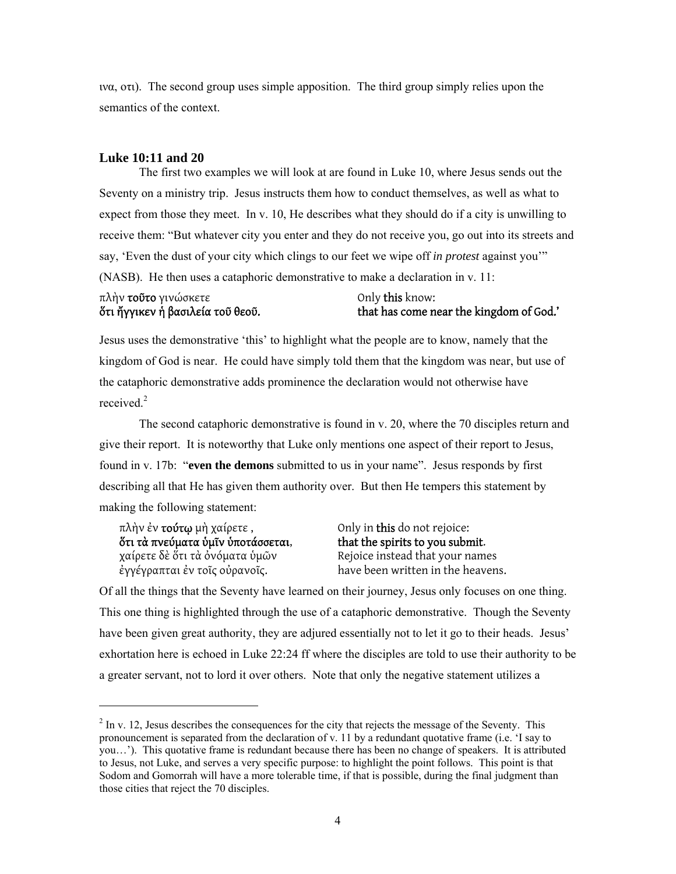ινα, οτι). The second group uses simple apposition. The third group simply relies upon the semantics of the context.

### **Luke 10:11 and 20**

 The first two examples we will look at are found in Luke 10, where Jesus sends out the Seventy on a ministry trip. Jesus instructs them how to conduct themselves, as well as what to expect from those they meet. In v. 10, He describes what they should do if a city is unwilling to receive them: "But whatever city you enter and they do not receive you, go out into its streets and say, 'Even the dust of your city which clings to our feet we wipe off *in protest* against you'" (NASB). He then uses a cataphoric demonstrative to make a declaration in v. 11:

### πλὴν τοῦτο γινώσκετε ὅτι ἤγγικεν ἡ βασιλεία τοῦ θεοῦ.

Only this know: that has come near the kingdom of God.'

Jesus uses the demonstrative 'this' to highlight what the people are to know, namely that the kingdom of God is near. He could have simply told them that the kingdom was near, but use of the cataphoric demonstrative adds prominence the declaration would not otherwise have received.<sup>2</sup>

The second cataphoric demonstrative is found in v. 20, where the 70 disciples return and give their report. It is noteworthy that Luke only mentions one aspect of their report to Jesus, found in v. 17b: "**even the demons** submitted to us in your name". Jesus responds by first describing all that He has given them authority over. But then He tempers this statement by making the following statement:

πλὴν ἐν τούτῳ μὴ χαίρετε , Only in this do not rejoice: **ὅτι τὰ πνεύματα ὑμῖν ὑποτάσσεται,**<br>γαίρετε δὲ ὅτι τὰ ὀνόματα ὑμῶν ἐγγέγραπται ἐν τοῖς οὐρανοῖς. have been written in the heavens.

1

Rejoice instead that your names

Of all the things that the Seventy have learned on their journey, Jesus only focuses on one thing. This one thing is highlighted through the use of a cataphoric demonstrative. Though the Seventy have been given great authority, they are adjured essentially not to let it go to their heads. Jesus' exhortation here is echoed in Luke 22:24 ff where the disciples are told to use their authority to be a greater servant, not to lord it over others. Note that only the negative statement utilizes a

 $2 \text{ In } v.$  12, Jesus describes the consequences for the city that rejects the message of the Seventy. This pronouncement is separated from the declaration of v. 11 by a redundant quotative frame (i.e. 'I say to you…'). This quotative frame is redundant because there has been no change of speakers. It is attributed to Jesus, not Luke, and serves a very specific purpose: to highlight the point follows. This point is that Sodom and Gomorrah will have a more tolerable time, if that is possible, during the final judgment than those cities that reject the 70 disciples.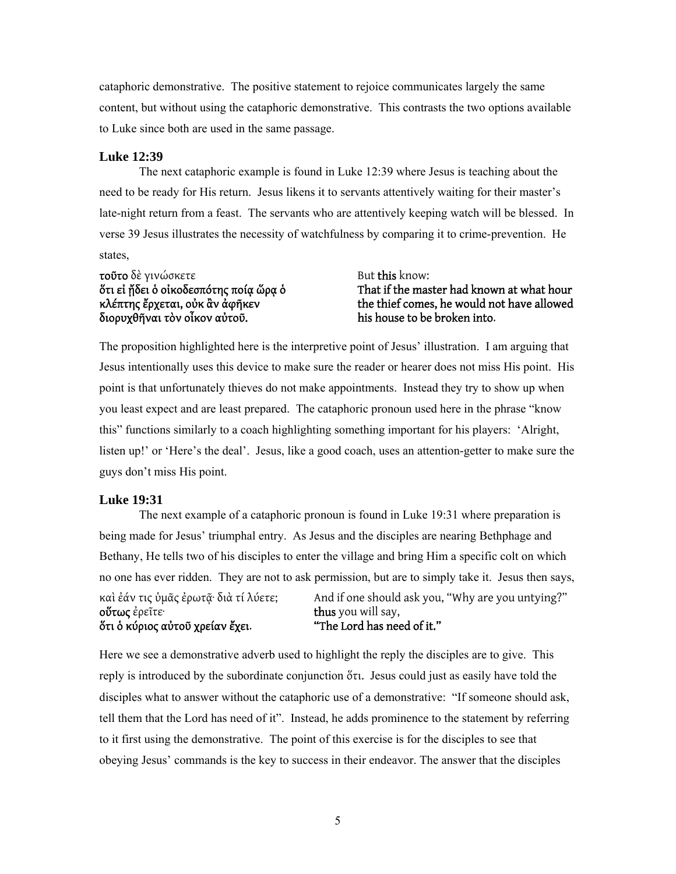cataphoric demonstrative. The positive statement to rejoice communicates largely the same content, but without using the cataphoric demonstrative. This contrasts the two options available to Luke since both are used in the same passage.

### **Luke 12:39**

 The next cataphoric example is found in Luke 12:39 where Jesus is teaching about the need to be ready for His return. Jesus likens it to servants attentively waiting for their master's late-night return from a feast. The servants who are attentively keeping watch will be blessed. In verse 39 Jesus illustrates the necessity of watchfulness by comparing it to crime-prevention. He states,

**τοῦτο** δὲ γινώσκετε ὅτι εἰ ᾔδει ὁ οἰκοδεσπότης ποίᾳ ὥρᾳ ὁ κλέπτης ἔρχεται, οὐκ ἂν ἀφῆκεν διορυχθῆναι τὸν οἶκον αὐτοῦ.

But this know:

That if the master had known at what hour the thief comes, he would not have allowed his house to be broken into.

The proposition highlighted here is the interpretive point of Jesus' illustration. I am arguing that Jesus intentionally uses this device to make sure the reader or hearer does not miss His point. His point is that unfortunately thieves do not make appointments. Instead they try to show up when you least expect and are least prepared. The cataphoric pronoun used here in the phrase "know this" functions similarly to a coach highlighting something important for his players: 'Alright, listen up!' or 'Here's the deal'. Jesus, like a good coach, uses an attention-getter to make sure the guys don't miss His point.

### **Luke 19:31**

 The next example of a cataphoric pronoun is found in Luke 19:31 where preparation is being made for Jesus' triumphal entry. As Jesus and the disciples are nearing Bethphage and Bethany, He tells two of his disciples to enter the village and bring Him a specific colt on which no one has ever ridden. They are not to ask permission, but are to simply take it. Jesus then says,

καὶ ἐάν τις ὑμᾶς ἐρωτᾷ· διὰ τί λύετε; οὕτως ἐρεῖτε· ὅτι ὁ κύριος αὐτοῦ χρείαν ἔχει. And if one should ask you, "Why are you untying?" thus you will say, "The Lord has need of it."

Here we see a demonstrative adverb used to highlight the reply the disciples are to give. This reply is introduced by the subordinate conjunction ὅτι. Jesus could just as easily have told the disciples what to answer without the cataphoric use of a demonstrative: "If someone should ask, tell them that the Lord has need of it". Instead, he adds prominence to the statement by referring to it first using the demonstrative. The point of this exercise is for the disciples to see that obeying Jesus' commands is the key to success in their endeavor. The answer that the disciples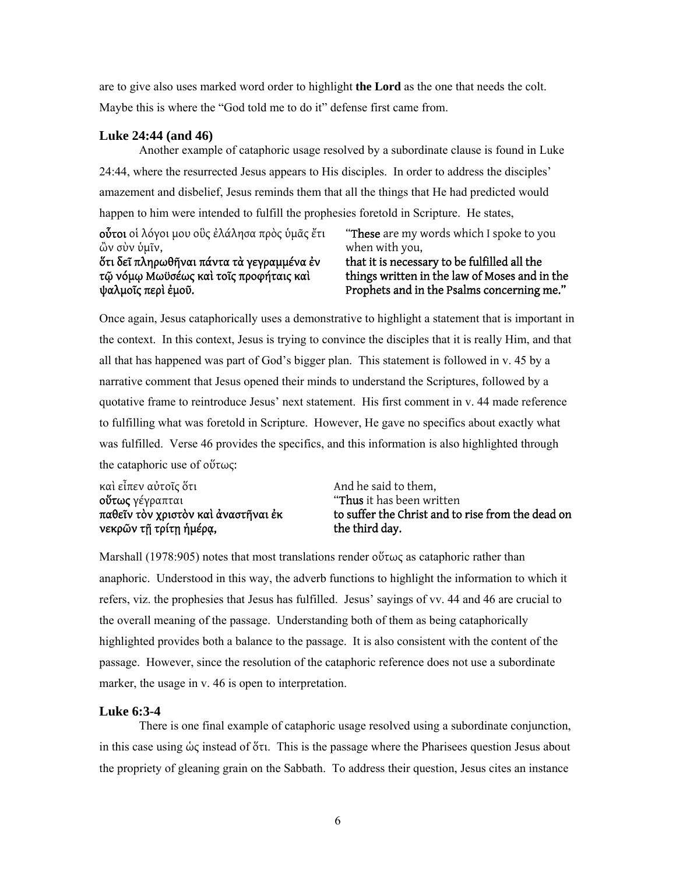are to give also uses marked word order to highlight **the Lord** as the one that needs the colt. Maybe this is where the "God told me to do it" defense first came from.

### **Luke 24:44 (and 46)**

Another example of cataphoric usage resolved by a subordinate clause is found in Luke 24:44, where the resurrected Jesus appears to His disciples. In order to address the disciples' amazement and disbelief, Jesus reminds them that all the things that He had predicted would happen to him were intended to fulfill the prophesies foretold in Scripture. He states,

οὗτοι οἱ λόγοι μου οὓς ἐλάλησα πρὸς ὑμᾶς ἔτι ὢν σὺν ὑμῖν, ὅτι δεῖ πληρωθῆναι πάντα τὰ γεγραμμένα ἐν τῷ νόμῳ Μωϋσέως καὶ τοῖς προφήταις καὶ ψαλμοῖς περὶ ἐμοῦ.

"These are my words which I spoke to you when with you, that it is necessary to be fulfilled all the

### things written in the law of Moses and in the Prophets and in the Psalms concerning me."

Once again, Jesus cataphorically uses a demonstrative to highlight a statement that is important in the context. In this context, Jesus is trying to convince the disciples that it is really Him, and that all that has happened was part of God's bigger plan. This statement is followed in v. 45 by a narrative comment that Jesus opened their minds to understand the Scriptures, followed by a quotative frame to reintroduce Jesus' next statement. His first comment in v. 44 made reference to fulfilling what was foretold in Scripture. However, He gave no specifics about exactly what was fulfilled. Verse 46 provides the specifics, and this information is also highlighted through the cataphoric use of οὕτως:

| καὶ εἶπεν αὐτοῖς ὅτι                | And he said to them,                              |
|-------------------------------------|---------------------------------------------------|
| <b>οὕτως</b> γέγραπται              | "Thus it has been written                         |
| παθεῖν τὸν χριστὸν καὶ ἀναστῆναι ἐκ | to suffer the Christ and to rise from the dead on |
| νεκρῶν τῆ τρίτῃ ἡμέρα,              | the third day.                                    |

Marshall (1978:905) notes that most translations render οὕτως as cataphoric rather than anaphoric. Understood in this way, the adverb functions to highlight the information to which it refers, viz. the prophesies that Jesus has fulfilled. Jesus' sayings of vv. 44 and 46 are crucial to the overall meaning of the passage. Understanding both of them as being cataphorically highlighted provides both a balance to the passage. It is also consistent with the content of the passage. However, since the resolution of the cataphoric reference does not use a subordinate marker, the usage in v. 46 is open to interpretation.

### **Luke 6:3-4**

 There is one final example of cataphoric usage resolved using a subordinate conjunction, in this case using ὡς instead of ὅτι. This is the passage where the Pharisees question Jesus about the propriety of gleaning grain on the Sabbath. To address their question, Jesus cites an instance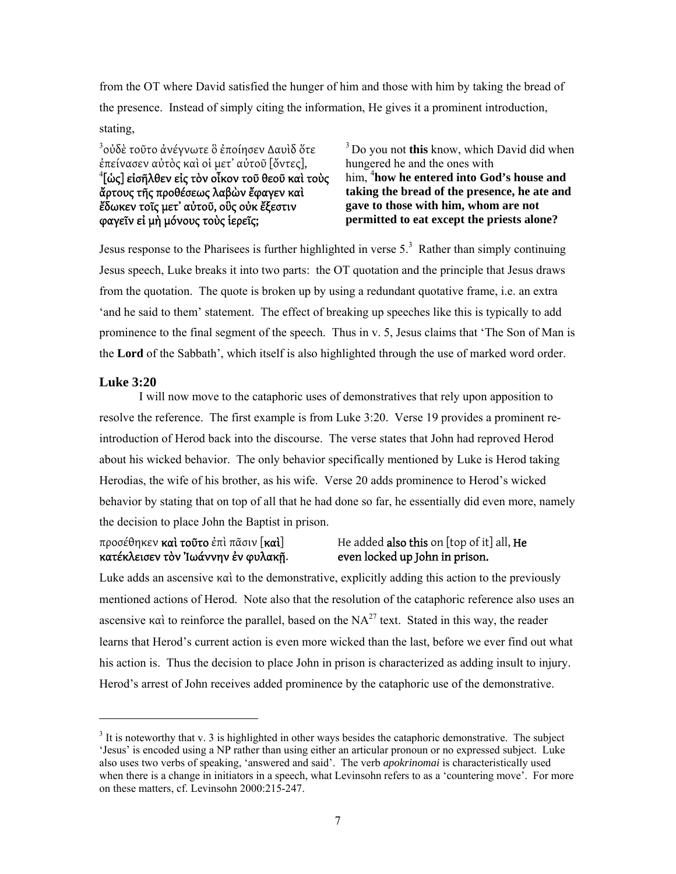from the OT where David satisfied the hunger of him and those with him by taking the bread of the presence. Instead of simply citing the information, He gives it a prominent introduction, stating,

<sup>3</sup>οὐδὲ τοῦτο ἀνέγνωτε ὃ ἐποίησεν Δαυὶδ ὅτε ἐπείνασεν αὐτὸς καὶ οἱ μετ' αὐτοῦ [ὄντες],  $^4$ [ὡς] εἰσῆλθεν εἰς τὸν οἶκον τοῦ θεοῦ καὶ τοὺς ἄρτους τῆς προθέσεως λαβὼν ἔφαγεν καὶ ἔδωκεν τοῖς μετ' αὐτοῦ, οὓς οὐκ ἔξεστιν φαγεῖν εἰ μὴ μόνους τοὺς ἱερεῖς;

3 Do you not **this** know, which David did when hungered he and the ones with him, <sup>4</sup> how he entered into God's house and **taking the bread of the presence, he ate and gave to those with him, whom are not permitted to eat except the priests alone?**

Jesus response to the Pharisees is further highlighted in verse  $5<sup>3</sup>$ . Rather than simply continuing Jesus speech, Luke breaks it into two parts: the OT quotation and the principle that Jesus draws from the quotation. The quote is broken up by using a redundant quotative frame, i.e. an extra 'and he said to them' statement. The effect of breaking up speeches like this is typically to add prominence to the final segment of the speech. Thus in v. 5, Jesus claims that 'The Son of Man is the **Lord** of the Sabbath', which itself is also highlighted through the use of marked word order.

### **Luke 3:20**

-

I will now move to the cataphoric uses of demonstratives that rely upon apposition to resolve the reference. The first example is from Luke 3:20. Verse 19 provides a prominent reintroduction of Herod back into the discourse. The verse states that John had reproved Herod about his wicked behavior. The only behavior specifically mentioned by Luke is Herod taking Herodias, the wife of his brother, as his wife. Verse 20 adds prominence to Herod's wicked behavior by stating that on top of all that he had done so far, he essentially did even more, namely the decision to place John the Baptist in prison.

### κατέκλεισεν τὸν Ἰωάννην ἐν φυλακῇ. even locked up John in prison.

## προσέθηκεν καὶ τοῦτο ἐπὶ πᾶσιν [καὶ] He added also this on [top of it] all, He

Luke adds an ascensive  $\kappa \alpha i$  to the demonstrative, explicitly adding this action to the previously mentioned actions of Herod. Note also that the resolution of the cataphoric reference also uses an ascensive καὶ to reinforce the parallel, based on the  $NA^{27}$  text. Stated in this way, the reader learns that Herod's current action is even more wicked than the last, before we ever find out what his action is. Thus the decision to place John in prison is characterized as adding insult to injury. Herod's arrest of John receives added prominence by the cataphoric use of the demonstrative.

 $3$  It is noteworthy that v. 3 is highlighted in other ways besides the cataphoric demonstrative. The subject 'Jesus' is encoded using a NP rather than using either an articular pronoun or no expressed subject. Luke also uses two verbs of speaking, 'answered and said'. The verb *apokrinomai* is characteristically used when there is a change in initiators in a speech, what Levinsohn refers to as a 'countering move'. For more on these matters, cf. Levinsohn 2000:215-247.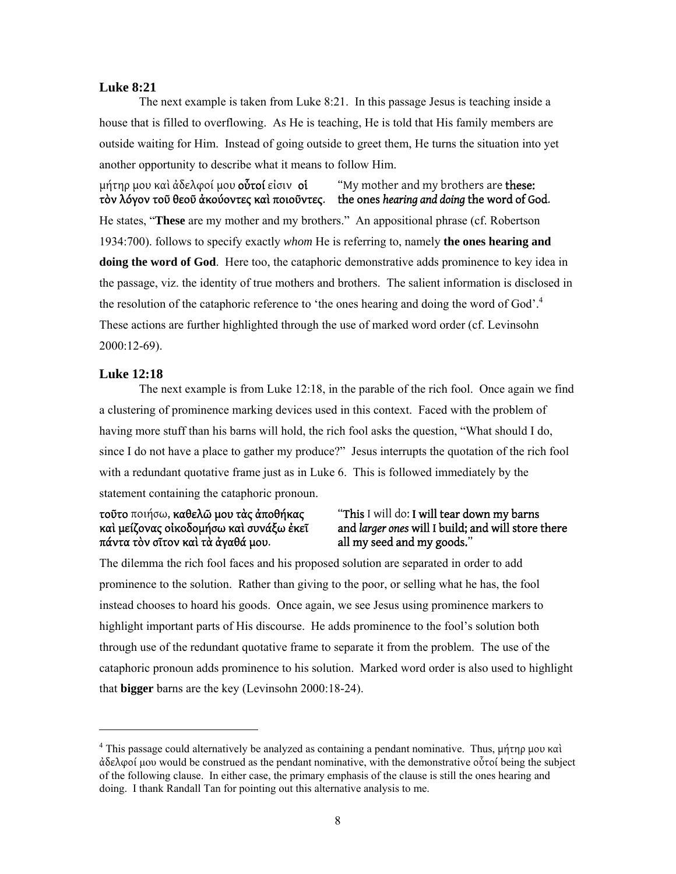### **Luke 8:21**

 The next example is taken from Luke 8:21. In this passage Jesus is teaching inside a house that is filled to overflowing. As He is teaching, He is told that His family members are outside waiting for Him. Instead of going outside to greet them, He turns the situation into yet another opportunity to describe what it means to follow Him.

μήτηρ μου καὶ ἀδελφοί μου **οὗτοί** εἰσιν **οἱ "**"My mother and my brothers are **these:** τὸν λόγον τοῦ θεοῦ ἀκούοντες καὶ ποιοῦντες. the ones *hearing and doing* the word of God. He states, "**These** are my mother and my brothers." An appositional phrase (cf. Robertson 1934:700). follows to specify exactly *whom* He is referring to, namely **the ones hearing and doing the word of God**. Here too, the cataphoric demonstrative adds prominence to key idea in the passage, viz. the identity of true mothers and brothers. The salient information is disclosed in the resolution of the cataphoric reference to 'the ones hearing and doing the word of God'.<sup>4</sup> These actions are further highlighted through the use of marked word order (cf. Levinsohn 2000:12-69).

### **Luke 12:18**

l

 The next example is from Luke 12:18, in the parable of the rich fool. Once again we find a clustering of prominence marking devices used in this context. Faced with the problem of having more stuff than his barns will hold, the rich fool asks the question, "What should I do, since I do not have a place to gather my produce?" Jesus interrupts the quotation of the rich fool with a redundant quotative frame just as in Luke 6. This is followed immediately by the statement containing the cataphoric pronoun.

### τοῦτο ποιήσω, καθελῶ μου τὰς ἀποθήκας "This I will do: I will tear down my barns<br>καὶ μείζονας οἰκοδομήσω καὶ συνάξω ἐκεῖ and larger ones will I build; and will store t πάντα τὸν σῖτον καὶ τὰ ἀγαθά μου.

# and *larger ones* will I build; and will store there all my seed and my goods."

The dilemma the rich fool faces and his proposed solution are separated in order to add prominence to the solution. Rather than giving to the poor, or selling what he has, the fool instead chooses to hoard his goods. Once again, we see Jesus using prominence markers to highlight important parts of His discourse. He adds prominence to the fool's solution both through use of the redundant quotative frame to separate it from the problem. The use of the cataphoric pronoun adds prominence to his solution. Marked word order is also used to highlight that **bigger** barns are the key (Levinsohn 2000:18-24).

<sup>&</sup>lt;sup>4</sup> This passage could alternatively be analyzed as containing a pendant nominative. Thus, μήτηρ μου καὶ ἀδελφοί µου would be construed as the pendant nominative, with the demonstrative οὗτοί being the subject of the following clause. In either case, the primary emphasis of the clause is still the ones hearing and doing. I thank Randall Tan for pointing out this alternative analysis to me.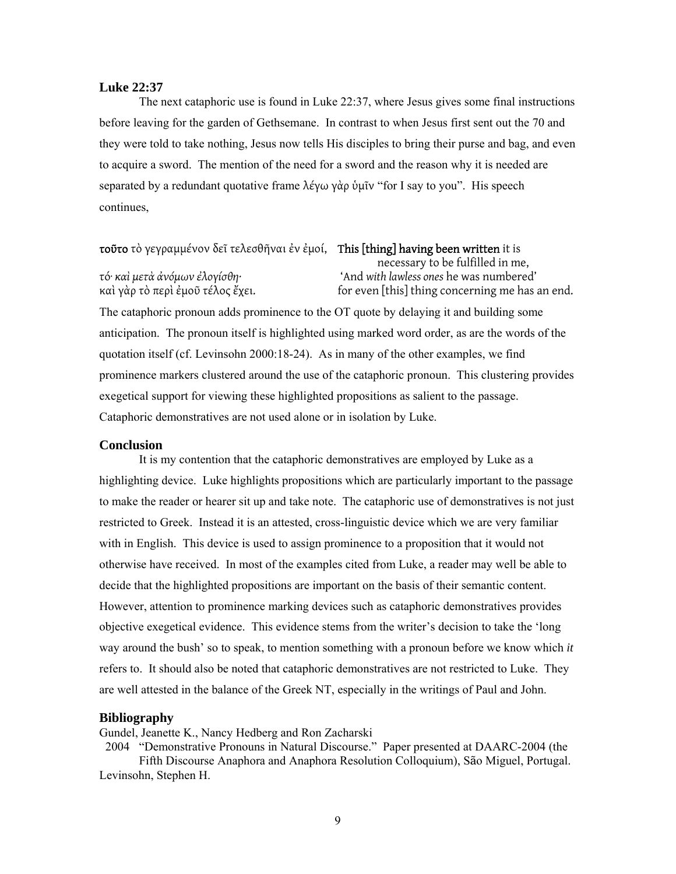### **Luke 22:37**

 The next cataphoric use is found in Luke 22:37, where Jesus gives some final instructions before leaving for the garden of Gethsemane. In contrast to when Jesus first sent out the 70 and they were told to take nothing, Jesus now tells His disciples to bring their purse and bag, and even to acquire a sword. The mention of the need for a sword and the reason why it is needed are separated by a redundant quotative frame λέγω γὰρ ὑμῖν "for I say to you". His speech continues,

### τοῦτο τὸ γεγραμμένον δεῖ τελεσθῆναι ἐν ἐμοί, This [thing] having been written it is

necessary to be fulfilled in me, τό· *καὶ μετὰ ἀνόμων ἐλογίσθη·* 'And *with lawless ones* he was numbered' καὶ γὰρ τὸ περὶ ἐμοῦ τέλος ἔχει. for even [this] thing concerning me has an end.

The cataphoric pronoun adds prominence to the OT quote by delaying it and building some anticipation. The pronoun itself is highlighted using marked word order, as are the words of the quotation itself (cf. Levinsohn 2000:18-24). As in many of the other examples, we find prominence markers clustered around the use of the cataphoric pronoun. This clustering provides exegetical support for viewing these highlighted propositions as salient to the passage. Cataphoric demonstratives are not used alone or in isolation by Luke.

### **Conclusion**

 It is my contention that the cataphoric demonstratives are employed by Luke as a highlighting device. Luke highlights propositions which are particularly important to the passage to make the reader or hearer sit up and take note. The cataphoric use of demonstratives is not just restricted to Greek. Instead it is an attested, cross-linguistic device which we are very familiar with in English. This device is used to assign prominence to a proposition that it would not otherwise have received. In most of the examples cited from Luke, a reader may well be able to decide that the highlighted propositions are important on the basis of their semantic content. However, attention to prominence marking devices such as cataphoric demonstratives provides objective exegetical evidence. This evidence stems from the writer's decision to take the 'long way around the bush' so to speak, to mention something with a pronoun before we know which *it* refers to. It should also be noted that cataphoric demonstratives are not restricted to Luke. They are well attested in the balance of the Greek NT, especially in the writings of Paul and John.

#### **Bibliography**

Gundel, Jeanette K., Nancy Hedberg and Ron Zacharski

 2004 "Demonstrative Pronouns in Natural Discourse." Paper presented at DAARC-2004 (the Fifth Discourse Anaphora and Anaphora Resolution Colloquium), São Miguel, Portugal.

Levinsohn, Stephen H.